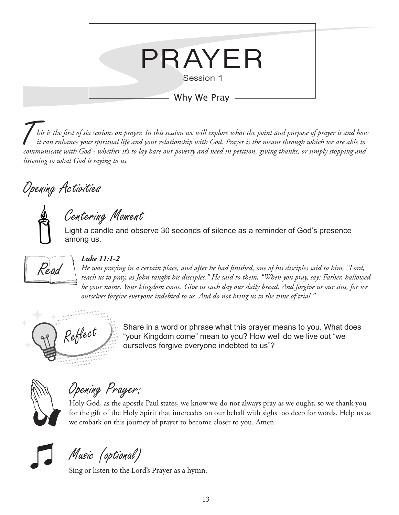

T*his is the first of six sessions on prayer. In this session we will explore what the point and purpose of prayer is and how it can enhance your spiritual life and your relationship with God. Prayer is the means through which we are able to communicate with God - whether it's to lay bare our poverty and need in petition, giving thanks, or simply stopping and listening to what God is saying to us.* 

## Opening Activities

Centering Moment

Light a candle and observe 30 seconds of silence as a reminder of God's presence among us.



#### *Luke 11:1-2*

*He was praying in a certain place, and after he had finished, one of his disciples said to him, "Lord, teach us to pray, as John taught his disciples." He said to them, "When you pray, say: Father, hallowed be your name. Your kingdom come. Give us each day our daily bread. And forgive us our sins, for we ourselves forgive everyone indebted to us. And do not bring us to the time of trial."*



 $Re\ell$  Share in a word or phrase what this prayer means to you. What does "your Kingdom come" mean to you? How well do we live out "we ourselves forgive everyone indebted to us"?

Opening Prayer:

Holy God, as the apostle Paul states, we know we do not always pray as we ought, so we thank you for the gift of the Holy Spirit that intercedes on our behalf with sighs too deep for words. Help us as we embark on this journey of prayer to become closer to you. Amen.



Music (optional)

Sing or listen to the Lord's Prayer as a hymn.